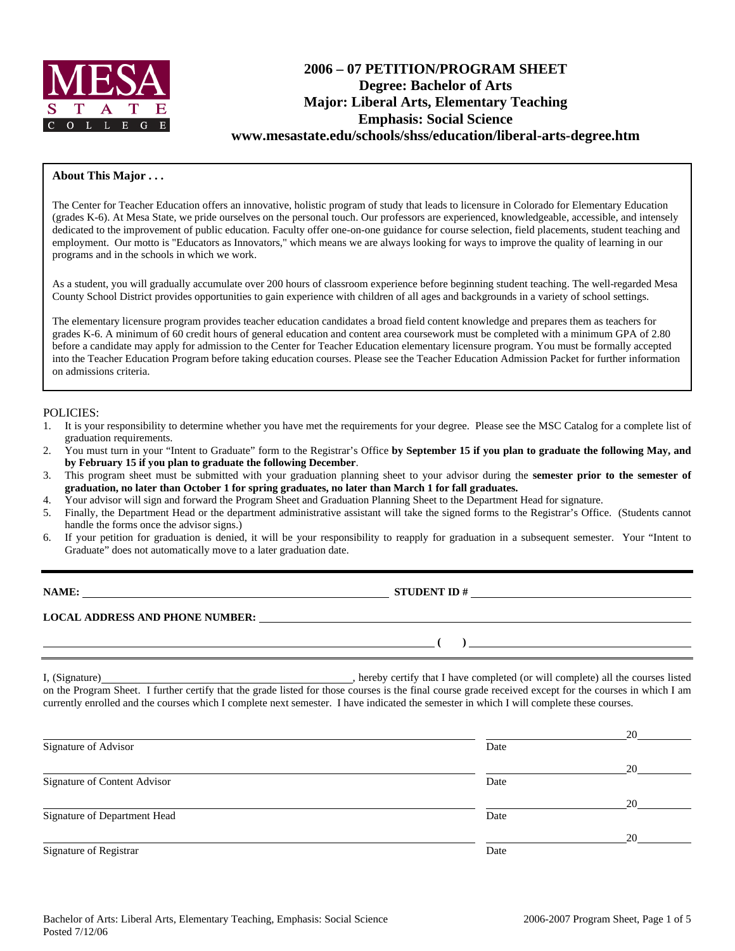

# **2006 – 07 PETITION/PROGRAM SHEET Degree: Bachelor of Arts Major: Liberal Arts, Elementary Teaching Emphasis: Social Science www.mesastate.edu/schools/shss/education/liberal-arts-degree.htm**

#### **About This Major . . .**

The Center for Teacher Education offers an innovative, holistic program of study that leads to licensure in Colorado for Elementary Education (grades K-6). At Mesa State, we pride ourselves on the personal touch. Our professors are experienced, knowledgeable, accessible, and intensely dedicated to the improvement of public education. Faculty offer one-on-one guidance for course selection, field placements, student teaching and employment. Our motto is "Educators as Innovators," which means we are always looking for ways to improve the quality of learning in our programs and in the schools in which we work.

As a student, you will gradually accumulate over 200 hours of classroom experience before beginning student teaching. The well-regarded Mesa County School District provides opportunities to gain experience with children of all ages and backgrounds in a variety of school settings.

The elementary licensure program provides teacher education candidates a broad field content knowledge and prepares them as teachers for grades K-6. A minimum of 60 credit hours of general education and content area coursework must be completed with a minimum GPA of 2.80 before a candidate may apply for admission to the Center for Teacher Education elementary licensure program. You must be formally accepted into the Teacher Education Program before taking education courses. Please see the Teacher Education Admission Packet for further information on admissions criteria.

#### POLICIES:

- 1. It is your responsibility to determine whether you have met the requirements for your degree. Please see the MSC Catalog for a complete list of graduation requirements.
- 2. You must turn in your "Intent to Graduate" form to the Registrar's Office **by September 15 if you plan to graduate the following May, and by February 15 if you plan to graduate the following December**.
- 3. This program sheet must be submitted with your graduation planning sheet to your advisor during the **semester prior to the semester of graduation, no later than October 1 for spring graduates, no later than March 1 for fall graduates.**
- 4. Your advisor will sign and forward the Program Sheet and Graduation Planning Sheet to the Department Head for signature.
- 5. Finally, the Department Head or the department administrative assistant will take the signed forms to the Registrar's Office. (Students cannot handle the forms once the advisor signs.)
- 6. If your petition for graduation is denied, it will be your responsibility to reapply for graduation in a subsequent semester. Your "Intent to Graduate" does not automatically move to a later graduation date.

**NAMES IN STUDENT ID #** 

 **(** )

**LOCAL ADDRESS AND PHONE NUMBER:**

I, (Signature) and the completed (or will completed (or will complete) all the courses listed on the Program Sheet. I further certify that the grade listed for those courses is the final course grade received except for the courses in which I am currently enrolled and the courses which I complete next semester. I have indicated the semester in which I will complete these courses.

|                                     |      | 20 |
|-------------------------------------|------|----|
| Signature of Advisor                | Date |    |
|                                     |      | 20 |
| <b>Signature of Content Advisor</b> | Date |    |
|                                     |      | 20 |
| Signature of Department Head        | Date |    |
|                                     |      | 20 |
| Signature of Registrar              | Date |    |
|                                     |      |    |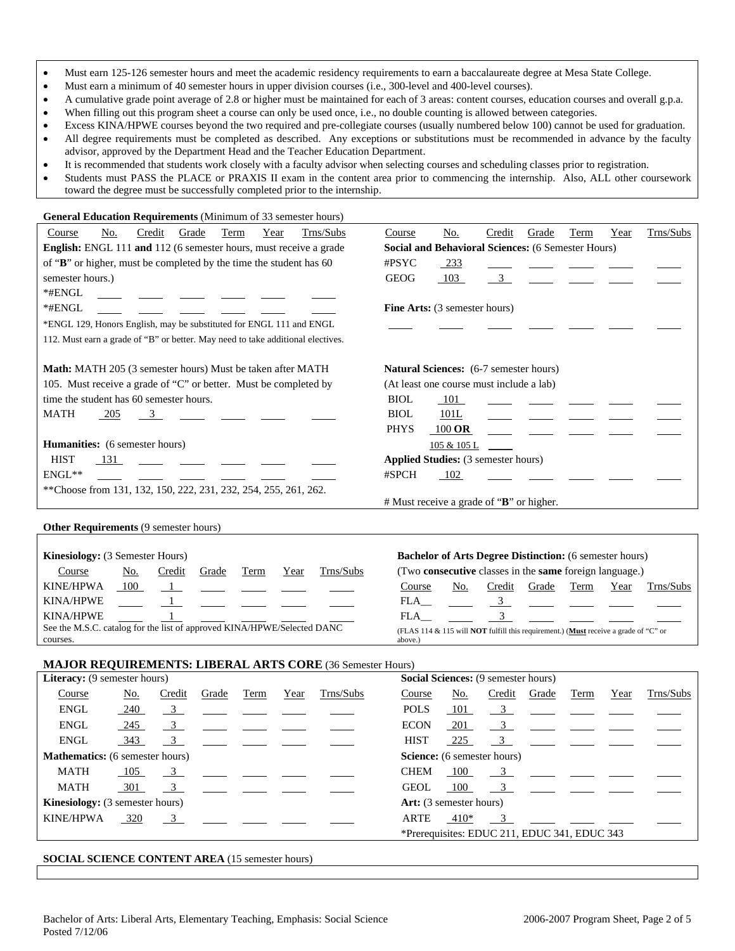- Must earn 125-126 semester hours and meet the academic residency requirements to earn a baccalaureate degree at Mesa State College.
- Must earn a minimum of 40 semester hours in upper division courses (i.e., 300-level and 400-level courses).
- A cumulative grade point average of 2.8 or higher must be maintained for each of 3 areas: content courses, education courses and overall g.p.a.
- When filling out this program sheet a course can only be used once, i.e., no double counting is allowed between categories.
- Excess KINA/HPWE courses beyond the two required and pre-collegiate courses (usually numbered below 100) cannot be used for graduation. • All degree requirements must be completed as described. Any exceptions or substitutions must be recommended in advance by the faculty
- advisor, approved by the Department Head and the Teacher Education Department.
- It is recommended that students work closely with a faculty advisor when selecting courses and scheduling classes prior to registration.
- Students must PASS the PLACE or PRAXIS II exam in the content area prior to commencing the internship. Also, ALL other coursework toward the degree must be successfully completed prior to the internship.

| <b>General Education Requirements</b> (Minimum of 33 semester hours)            |                                                               |  |  |  |  |  |  |  |  |
|---------------------------------------------------------------------------------|---------------------------------------------------------------|--|--|--|--|--|--|--|--|
| No.<br>Term<br>Trns/Subs<br>Credit<br>Grade<br>Year<br>Course                   | Trns/Subs<br>No.<br>Grade<br>Term<br>Year<br>Credit<br>Course |  |  |  |  |  |  |  |  |
| English: ENGL 111 and 112 (6 semester hours, must receive a grade               | <b>Social and Behavioral Sciences:</b> (6 Semester Hours)     |  |  |  |  |  |  |  |  |
| of "B" or higher, must be completed by the time the student has 60              | $\#$ PSYC<br>233                                              |  |  |  |  |  |  |  |  |
| semester hours.)                                                                | <b>GEOG</b><br>103<br>$\overline{3}$                          |  |  |  |  |  |  |  |  |
| *#ENGL                                                                          |                                                               |  |  |  |  |  |  |  |  |
| *#ENGL                                                                          | Fine Arts: (3 semester hours)                                 |  |  |  |  |  |  |  |  |
| *ENGL 129, Honors English, may be substituted for ENGL 111 and ENGL             |                                                               |  |  |  |  |  |  |  |  |
| 112. Must earn a grade of "B" or better. May need to take additional electives. |                                                               |  |  |  |  |  |  |  |  |
| <b>Math:</b> MATH 205 (3 semester hours) Must be taken after MATH               | <b>Natural Sciences:</b> (6-7 semester hours)                 |  |  |  |  |  |  |  |  |
| 105. Must receive a grade of "C" or better. Must be completed by                | (At least one course must include a lab)                      |  |  |  |  |  |  |  |  |
| time the student has 60 semester hours.                                         | <b>BIOL</b><br>101                                            |  |  |  |  |  |  |  |  |
| MATH<br>205<br>$\mathcal{S}$                                                    | <b>BIOL</b><br>101L                                           |  |  |  |  |  |  |  |  |
|                                                                                 | <b>PHYS</b><br>$100$ OR                                       |  |  |  |  |  |  |  |  |
| Humanities: (6 semester hours)                                                  | 105 & 105 L                                                   |  |  |  |  |  |  |  |  |
| <b>HIST</b><br>-131                                                             | <b>Applied Studies:</b> (3 semester hours)                    |  |  |  |  |  |  |  |  |
| $ENGL**$                                                                        | #SPCH<br>102                                                  |  |  |  |  |  |  |  |  |
| **Choose from 131, 132, 150, 222, 231, 232, 254, 255, 261, 262.                 |                                                               |  |  |  |  |  |  |  |  |
|                                                                                 | # Must receive a grade of "B" or higher.                      |  |  |  |  |  |  |  |  |
| <b>Other Requirements (9 semester hours)</b>                                    |                                                               |  |  |  |  |  |  |  |  |

| <b>Kinesiology:</b> (3 Semester Hours)                                  |                                                                                                    |        |                                                                                                                                                                                                                                                                                                  |      |      |           |                                                                       |     | <b>Bachelor of Arts Degree Distinction:</b> (6 semester hours) |       |      |      |                                |
|-------------------------------------------------------------------------|----------------------------------------------------------------------------------------------------|--------|--------------------------------------------------------------------------------------------------------------------------------------------------------------------------------------------------------------------------------------------------------------------------------------------------|------|------|-----------|-----------------------------------------------------------------------|-----|----------------------------------------------------------------|-------|------|------|--------------------------------|
| Course                                                                  | No.                                                                                                | Credit | Grade                                                                                                                                                                                                                                                                                            | Term | Year | Trns/Subs | (Two <b>consecutive</b> classes in the <b>same</b> foreign language.) |     |                                                                |       |      |      |                                |
| KINE/HPWA                                                               | - 100                                                                                              |        | $\mathbf{1}$ and $\mathbf{1}$ and $\mathbf{1}$ and $\mathbf{1}$ and $\mathbf{1}$ and $\mathbf{1}$ and $\mathbf{1}$ and $\mathbf{1}$ and $\mathbf{1}$ and $\mathbf{1}$ and $\mathbf{1}$ and $\mathbf{1}$ and $\mathbf{1}$ and $\mathbf{1}$ and $\mathbf{1}$ and $\mathbf{1}$ and $\mathbf{1}$ and |      |      |           | Course                                                                | No. | Credit                                                         | Grade | Term | Year | Trns/Subs                      |
| <b>KINA/HPWE</b>                                                        |                                                                                                    |        |                                                                                                                                                                                                                                                                                                  |      |      |           | FLA                                                                   |     |                                                                |       |      |      | $3 \left( \frac{1}{2} \right)$ |
| <b>KINA/HPWE</b>                                                        |                                                                                                    |        |                                                                                                                                                                                                                                                                                                  |      |      |           | FLA.                                                                  |     |                                                                |       |      |      |                                |
| See the M.S.C. catalog for the list of approved KINA/HPWE/Selected DANC | (FLAS 114 & 115 will <b>NOT</b> fulfill this requirement.) ( <b>Must</b> receive a grade of "C" or |        |                                                                                                                                                                                                                                                                                                  |      |      |           |                                                                       |     |                                                                |       |      |      |                                |
| courses.                                                                |                                                                                                    |        |                                                                                                                                                                                                                                                                                                  |      |      |           | above.)                                                               |     |                                                                |       |      |      |                                |

### **MAJOR REQUIREMENTS: LIBERAL ARTS CORE** (36 Semester Hours)

| <b>Literacy:</b> (9 semester hours)    |                 |                         |                                                                                     |      |      |                                                                                                                       | <b>Social Sciences:</b> (9 semester hours) |                                |                                              |                                                                                                                                                                                                                                                                                                                     |      |      |                                                                                     |
|----------------------------------------|-----------------|-------------------------|-------------------------------------------------------------------------------------|------|------|-----------------------------------------------------------------------------------------------------------------------|--------------------------------------------|--------------------------------|----------------------------------------------|---------------------------------------------------------------------------------------------------------------------------------------------------------------------------------------------------------------------------------------------------------------------------------------------------------------------|------|------|-------------------------------------------------------------------------------------|
| Course                                 | No.             | Credit                  | Grade                                                                               | Term | Year | Trns/Subs                                                                                                             | Course                                     | <u>No.</u>                     | Credit                                       | Grade                                                                                                                                                                                                                                                                                                               | Term | Year | Trns/Subs                                                                           |
| ENGL                                   | $\frac{240}{ }$ | $\overline{\mathbf{3}}$ |                                                                                     |      |      | <u> 1988 - John Harry Harry Harry Harry Harry Harry Harry Harry Harry Harry Harry Harry Harry Harry Harry Harry H</u> | <b>POLS</b>                                | 101                            |                                              |                                                                                                                                                                                                                                                                                                                     |      |      | $\frac{3}{2}$ $\frac{1}{2}$ $\frac{1}{2}$ $\frac{1}{2}$ $\frac{1}{2}$               |
| <b>ENGL</b>                            | $-245$          |                         | $\frac{3}{2}$ $\frac{1}{2}$ $\frac{1}{2}$ $\frac{1}{2}$ $\frac{1}{2}$ $\frac{1}{2}$ |      |      |                                                                                                                       | <b>ECON</b>                                | 201                            |                                              |                                                                                                                                                                                                                                                                                                                     |      |      | $\frac{3}{2}$ $\frac{1}{2}$ $\frac{1}{2}$ $\frac{1}{2}$ $\frac{1}{2}$ $\frac{1}{2}$ |
| <b>ENGL</b>                            | 343             |                         | $\frac{3}{2}$ $\frac{1}{2}$ $\frac{1}{2}$ $\frac{1}{2}$ $\frac{1}{2}$               |      |      |                                                                                                                       | <b>HIST</b>                                | 225                            |                                              |                                                                                                                                                                                                                                                                                                                     |      |      | $\frac{3}{2}$ $\frac{1}{2}$ $\frac{1}{2}$ $\frac{1}{2}$ $\frac{1}{2}$ $\frac{1}{2}$ |
| <b>Mathematics:</b> (6 semester hours) |                 |                         |                                                                                     |      |      |                                                                                                                       |                                            | Science: (6 semester hours)    |                                              |                                                                                                                                                                                                                                                                                                                     |      |      |                                                                                     |
| MATH                                   | 105             |                         | $\frac{3}{2}$ $\frac{1}{2}$ $\frac{1}{2}$ $\frac{1}{2}$ $\frac{1}{2}$               |      |      |                                                                                                                       | <b>CHEM</b>                                | - 100                          |                                              | $\overline{3}$                                                                                                                                                                                                                                                                                                      |      |      |                                                                                     |
| MATH                                   | 301             |                         | $\frac{3}{2}$ $\frac{1}{2}$ $\frac{1}{2}$ $\frac{1}{2}$ $\frac{1}{2}$               |      |      |                                                                                                                       | <b>GEOL</b>                                | 100                            |                                              | $\frac{3}{2}$ $\frac{3}{2}$ $\frac{3}{2}$ $\frac{3}{2}$ $\frac{3}{2}$ $\frac{3}{2}$ $\frac{3}{2}$ $\frac{3}{2}$ $\frac{3}{2}$ $\frac{3}{2}$ $\frac{3}{2}$ $\frac{3}{2}$ $\frac{3}{2}$ $\frac{3}{2}$ $\frac{3}{2}$ $\frac{3}{2}$ $\frac{3}{2}$ $\frac{3}{2}$ $\frac{3}{2}$ $\frac{3}{2}$ $\frac{3}{2}$ $\frac{3}{2}$ |      |      |                                                                                     |
| <b>Kinesiology:</b> (3 semester hours) |                 |                         |                                                                                     |      |      |                                                                                                                       |                                            | <b>Art:</b> (3 semester hours) |                                              |                                                                                                                                                                                                                                                                                                                     |      |      |                                                                                     |
| KINE/HPWA                              | 320             |                         | $\overline{3}$                                                                      |      |      |                                                                                                                       | ARTE                                       | 410*                           |                                              | $\overline{3}$                                                                                                                                                                                                                                                                                                      |      |      |                                                                                     |
|                                        |                 |                         |                                                                                     |      |      |                                                                                                                       |                                            |                                | *Prerequisites: EDUC 211, EDUC 341, EDUC 343 |                                                                                                                                                                                                                                                                                                                     |      |      |                                                                                     |

**SOCIAL SCIENCE CONTENT AREA** (15 semester hours)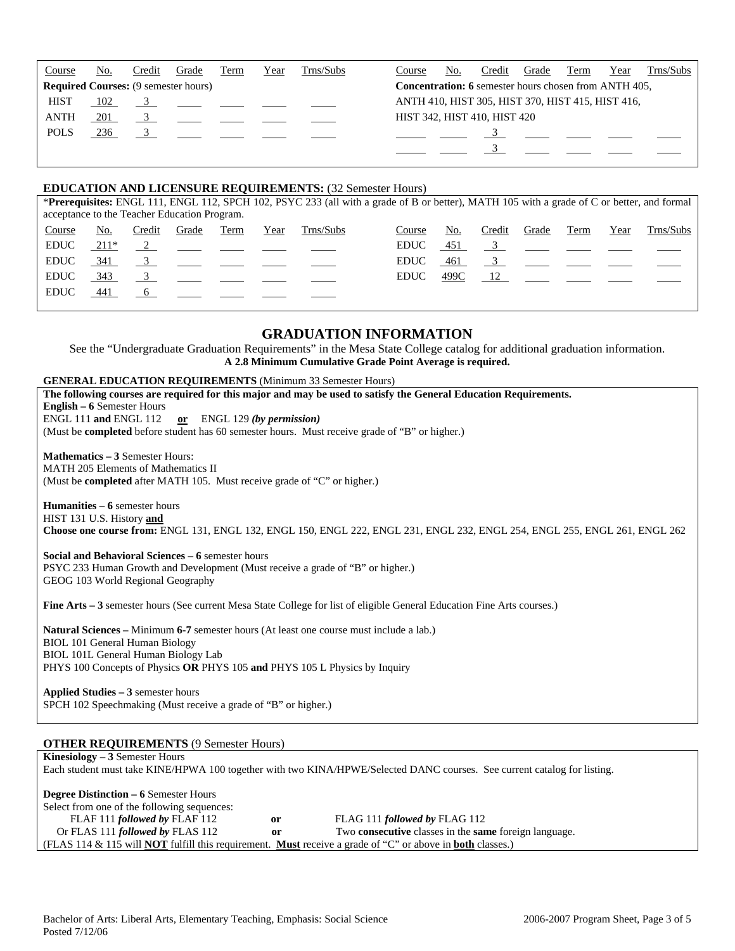| Course      | No. | Credit | Grade                                       | Term | Year | Trns/Subs | Year<br>No.<br>Credit<br>Grade<br>Term<br>Course             | Trns/Subs |
|-------------|-----|--------|---------------------------------------------|------|------|-----------|--------------------------------------------------------------|-----------|
|             |     |        | <b>Required Courses:</b> (9 semester hours) |      |      |           | <b>Concentration: 6</b> semester hours chosen from ANTH 405, |           |
| <b>HIST</b> | 102 |        |                                             |      |      |           | ANTH 410, HIST 305, HIST 370, HIST 415, HIST 416,            |           |
| <b>ANTH</b> | 201 |        |                                             |      |      |           | HIST 342, HIST 410, HIST 420                                 |           |
| <b>POLS</b> | 236 |        |                                             |      |      |           |                                                              |           |
|             |     |        |                                             |      |      |           |                                                              |           |
|             |     |        |                                             |      |      |           |                                                              |           |

#### **EDUCATION AND LICENSURE REQUIREMENTS:** (32 Semester Hours)

|                                              | *Prerequisites: ENGL 111, ENGL 112, SPCH 102, PSYC 233 (all with a grade of B or better), MATH 105 with a grade of C or better, and formal |        |          |      |      |           |             |      |        |                                                         |      |      |           |
|----------------------------------------------|--------------------------------------------------------------------------------------------------------------------------------------------|--------|----------|------|------|-----------|-------------|------|--------|---------------------------------------------------------|------|------|-----------|
| acceptance to the Teacher Education Program. |                                                                                                                                            |        |          |      |      |           |             |      |        |                                                         |      |      |           |
| Course                                       | No.                                                                                                                                        | Credit | Grade    | Term | Year | Trns/Subs | Course      | No.  | Credit | Grade                                                   | Term | Year | Trns/Subs |
| <b>EDUC</b>                                  | 211*                                                                                                                                       |        | $\sim$ 2 |      |      |           | <b>EDUC</b> | 451  |        | $\frac{3}{2}$ $\frac{1}{2}$ $\frac{1}{2}$ $\frac{1}{2}$ |      |      |           |
| <b>EDUC</b>                                  | 341                                                                                                                                        |        |          |      |      |           | <b>EDUC</b> | 461  |        | $\overline{3}$                                          |      |      |           |
| <b>EDUC</b>                                  | 343                                                                                                                                        |        |          |      |      |           | EDUC.       | 499C |        | 12                                                      |      |      |           |
| <b>EDUC</b>                                  | 441                                                                                                                                        |        |          |      |      |           |             |      |        |                                                         |      |      |           |
|                                              |                                                                                                                                            |        |          |      |      |           |             |      |        |                                                         |      |      |           |

# **GRADUATION INFORMATION**

See the "Undergraduate Graduation Requirements" in the Mesa State College catalog for additional graduation information. **A 2.8 Minimum Cumulative Grade Point Average is required.**

#### **GENERAL EDUCATION REQUIREMENTS** (Minimum 33 Semester Hours)

| The following courses are required for this major and may be used to satisfy the General Education Requirements.               |
|--------------------------------------------------------------------------------------------------------------------------------|
|                                                                                                                                |
| <b>English – 6 Semester Hours</b>                                                                                              |
| ENGL 111 and ENGL 112 or ENGL 129 (by permission)                                                                              |
| (Must be completed before student has 60 semester hours. Must receive grade of "B" or higher.)                                 |
|                                                                                                                                |
| <b>Mathematics – 3 Semester Hours:</b>                                                                                         |
| <b>MATH 205 Elements of Mathematics II</b>                                                                                     |
| (Must be completed after MATH 105. Must receive grade of "C" or higher.)                                                       |
|                                                                                                                                |
| Humanities – 6 semester hours                                                                                                  |
| HIST 131 U.S. History and                                                                                                      |
| Choose one course from: ENGL 131, ENGL 132, ENGL 150, ENGL 222, ENGL 231, ENGL 232, ENGL 254, ENGL 255, ENGL 261, ENGL 262     |
|                                                                                                                                |
| Social and Behavioral Sciences – 6 semester hours                                                                              |
| PSYC 233 Human Growth and Development (Must receive a grade of "B" or higher.)                                                 |
| GEOG 103 World Regional Geography                                                                                              |
|                                                                                                                                |
| <b>Fine Arts – 3</b> semester hours (See current Mesa State College for list of eligible General Education Fine Arts courses.) |
|                                                                                                                                |
| <b>Natural Sciences</b> – Minimum 6-7 semester hours (At least one course must include a lab.)                                 |
| <b>BIOL 101 General Human Biology</b>                                                                                          |
|                                                                                                                                |
| BIOL 101L General Human Biology Lab                                                                                            |
| PHYS 100 Concepts of Physics OR PHYS 105 and PHYS 105 L Physics by Inquiry                                                     |
|                                                                                                                                |
| Applied Studies $-3$ semester hours                                                                                            |
| SPCH 102 Speechmaking (Must receive a grade of "B" or higher.)                                                                 |

#### **OTHER REQUIREMENTS** (9 Semester Hours)

| <b>Kinesiology</b> $-3$ Semester Hours                                                                                         |    |                               |  |  |  |  |  |  |  |
|--------------------------------------------------------------------------------------------------------------------------------|----|-------------------------------|--|--|--|--|--|--|--|
| Each student must take KINE/HPWA 100 together with two KINA/HPWE/Selected DANC courses. See current catalog for listing.       |    |                               |  |  |  |  |  |  |  |
|                                                                                                                                |    |                               |  |  |  |  |  |  |  |
| <b>Degree Distinction – 6 Semester Hours</b>                                                                                   |    |                               |  |  |  |  |  |  |  |
| Select from one of the following sequences:                                                                                    |    |                               |  |  |  |  |  |  |  |
| FLAF 111 followed by FLAF 112                                                                                                  | 0r | FLAG 111 followed by FLAG 112 |  |  |  |  |  |  |  |
| Or FLAS 111 followed by FLAS 112<br>Two <b>consecutive</b> classes in the <b>same</b> foreign language.<br><sub>or</sub>       |    |                               |  |  |  |  |  |  |  |
| (FLAS 114 & 115 will <b>NOT</b> fulfill this requirement. <b>Must</b> receive a grade of "C" or above in <b>both</b> classes.) |    |                               |  |  |  |  |  |  |  |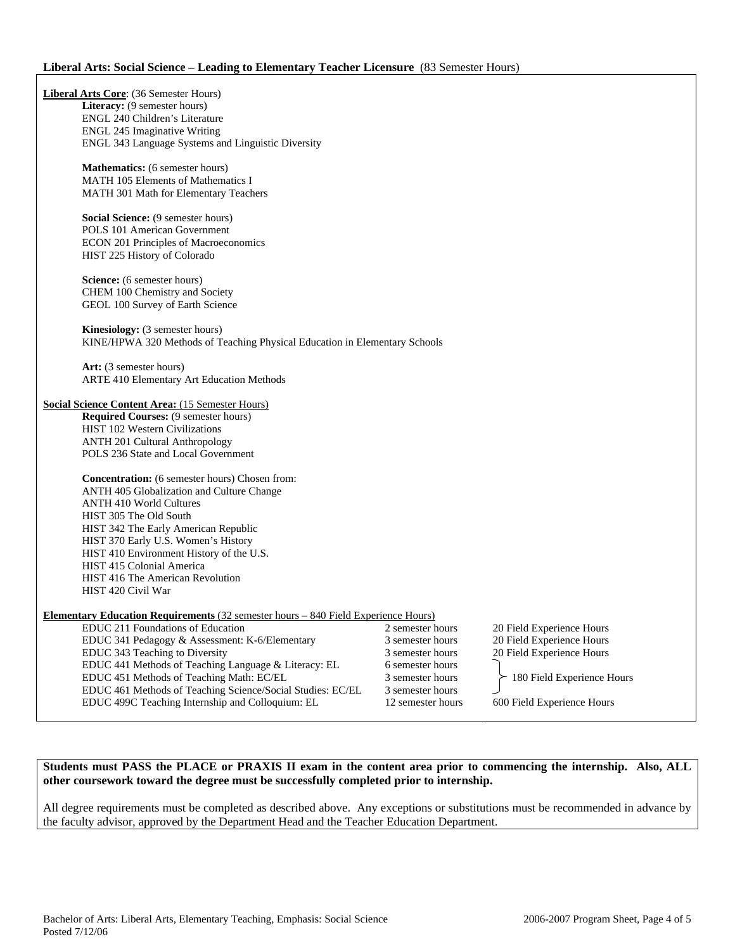#### **Liberal Arts: Social Science – Leading to Elementary Teacher Licensure** (83 Semester Hours)

| Liberal Arts Core: (36 Semester Hours)                  |                                                                                            |                   |                            |
|---------------------------------------------------------|--------------------------------------------------------------------------------------------|-------------------|----------------------------|
| Literacy: (9 semester hours)                            |                                                                                            |                   |                            |
| ENGL 240 Children's Literature                          |                                                                                            |                   |                            |
| <b>ENGL 245 Imaginative Writing</b>                     |                                                                                            |                   |                            |
|                                                         | ENGL 343 Language Systems and Linguistic Diversity                                         |                   |                            |
| Mathematics: (6 semester hours)                         |                                                                                            |                   |                            |
| <b>MATH 105 Elements of Mathematics I</b>               |                                                                                            |                   |                            |
| MATH 301 Math for Elementary Teachers                   |                                                                                            |                   |                            |
|                                                         |                                                                                            |                   |                            |
| Social Science: (9 semester hours)                      |                                                                                            |                   |                            |
| POLS 101 American Government                            |                                                                                            |                   |                            |
| ECON 201 Principles of Macroeconomics                   |                                                                                            |                   |                            |
| HIST 225 History of Colorado                            |                                                                                            |                   |                            |
| Science: (6 semester hours)                             |                                                                                            |                   |                            |
| CHEM 100 Chemistry and Society                          |                                                                                            |                   |                            |
| GEOL 100 Survey of Earth Science                        |                                                                                            |                   |                            |
|                                                         |                                                                                            |                   |                            |
| <b>Kinesiology:</b> (3 semester hours)                  |                                                                                            |                   |                            |
|                                                         | KINE/HPWA 320 Methods of Teaching Physical Education in Elementary Schools                 |                   |                            |
| Art: (3 semester hours)                                 |                                                                                            |                   |                            |
| ARTE 410 Elementary Art Education Methods               |                                                                                            |                   |                            |
|                                                         |                                                                                            |                   |                            |
| <b>Social Science Content Area: (15 Semester Hours)</b> |                                                                                            |                   |                            |
| Required Courses: (9 semester hours)                    |                                                                                            |                   |                            |
| HIST 102 Western Civilizations                          |                                                                                            |                   |                            |
| <b>ANTH 201 Cultural Anthropology</b>                   |                                                                                            |                   |                            |
| POLS 236 State and Local Government                     |                                                                                            |                   |                            |
|                                                         |                                                                                            |                   |                            |
| <b>Concentration:</b> (6 semester hours) Chosen from:   |                                                                                            |                   |                            |
| ANTH 405 Globalization and Culture Change               |                                                                                            |                   |                            |
| <b>ANTH 410 World Cultures</b>                          |                                                                                            |                   |                            |
| HIST 305 The Old South                                  |                                                                                            |                   |                            |
| HIST 342 The Early American Republic                    |                                                                                            |                   |                            |
| HIST 370 Early U.S. Women's History                     |                                                                                            |                   |                            |
| HIST 410 Environment History of the U.S.                |                                                                                            |                   |                            |
| HIST 415 Colonial America                               |                                                                                            |                   |                            |
| HIST 416 The American Revolution                        |                                                                                            |                   |                            |
| HIST 420 Civil War                                      |                                                                                            |                   |                            |
|                                                         |                                                                                            |                   |                            |
|                                                         | <u> Elementary Education Requirements (32 semester hours – 840 Field Experience Hours)</u> |                   |                            |
| EDUC 211 Foundations of Education                       |                                                                                            | 2 semester hours  | 20 Field Experience Hours  |
|                                                         | EDUC 341 Pedagogy & Assessment: K-6/Elementary                                             | 3 semester hours  | 20 Field Experience Hours  |
| EDUC 343 Teaching to Diversity                          |                                                                                            | 3 semester hours  | 20 Field Experience Hours  |
|                                                         | EDUC 441 Methods of Teaching Language & Literacy: EL                                       | 6 semester hours  |                            |
| EDUC 451 Methods of Teaching Math: EC/EL                |                                                                                            | 3 semester hours  | 180 Field Experience Hours |
|                                                         | EDUC 461 Methods of Teaching Science/Social Studies: EC/EL                                 | 3 semester hours  |                            |
|                                                         | EDUC 499C Teaching Internship and Colloquium: EL                                           | 12 semester hours | 600 Field Experience Hours |

### **Students must PASS the PLACE or PRAXIS II exam in the content area prior to commencing the internship. Also, ALL other coursework toward the degree must be successfully completed prior to internship.**

All degree requirements must be completed as described above. Any exceptions or substitutions must be recommended in advance by the faculty advisor, approved by the Department Head and the Teacher Education Department.